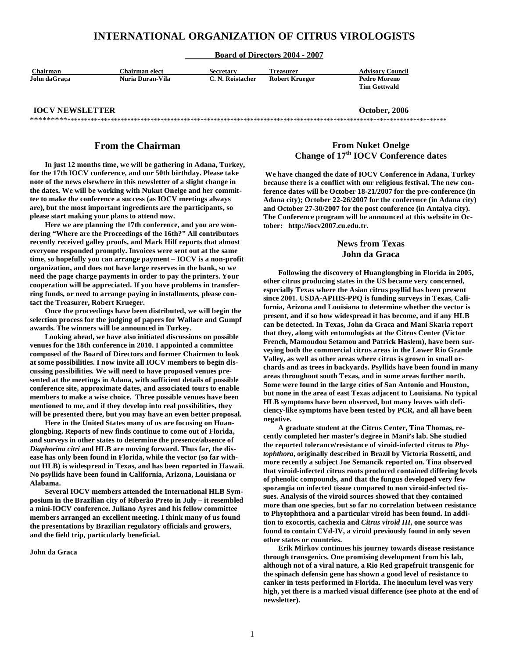# **INTERNATIONAL ORGANIZATION OF CITRUS VIROLOGISTS**

#### **Board of Directors 2004 - 2007**

| Chairman     | Chairman elect   | Secretary        | <b>Treasurer</b> | <b>Advisory Council</b> |
|--------------|------------------|------------------|------------------|-------------------------|
| John daGraca | Nuria Duran-Vila | C. N. Roistacher | Robert Krueger   | Pedro Moreno            |
|              |                  |                  |                  | <b>Tim Gottwald</b>     |

#### **IOCV NEWSLETTER CONSUMPTER OCTOBER 2006** \*\*\*\*\*\*\*\*\*\*\*\*\*\*\*\*\*\*\*\*\*\*\*\*\*\*\*\*\*\*\*\*\*\*\*\*\*\*\*\*\*\*\*\*\*\*\*\*\*\*\*\*\*\*\*\*\*\*\*\*\*\*\*\*\*\*\*\*\*\*\*\*\*\*\*\*\*\*\*\*\*\*\*\*\*\*\*\*\*\*\*\*\*\*\*\*\*\*\*\*\*\*\*\*\*\*\*\*\*\*\*\*\*\*\*\*\*\*\*\*\*\*\*

# **From the Chairman**

 **In just 12 months time, we will be gathering in Adana, Turkey, for the 17th IOCV conference, and our 50th birthday. Please take note of the news elsewhere in this newsletter of a slight change in the dates. We will be working with Nukut Onelge and her committee to make the conference a success (as IOCV meetings always are), but the most important ingredients are the participants, so please start making your plans to attend now.** 

 **Here we are planning the 17th conference, and you are wondering "Where are the Proceedings of the 16th?" All contributors recently received galley proofs, and Mark Hilf reports that almost everyone responded promptly. Invoices were sent out at the same time, so hopefully you can arrange payment – IOCV is a non-profit organization, and does not have large reserves in the bank, so we need the page charge payments in order to pay the printers. Your cooperation will be appreciated. If you have problems in transferring funds, or need to arrange paying in installments, please contact the Treasurer, Robert Krueger.** 

 **Once the proceedings have been distributed, we will begin the selection process for the judging of papers for Wallace and Gumpf awards. The winners will be announced in Turkey.** 

 **Looking ahead, we have also initiated discussions on possible venues for the 18th conference in 2010. I appointed a committee composed of the Board of Directors and former Chairmen to look at some possibilities. I now invite all IOCV members to begin discussing possibilities. We will need to have proposed venues presented at the meetings in Adana, with sufficient details of possible conference site, approximate dates, and associated tours to enable members to make a wise choice. Three possible venues have been mentioned to me, and if they develop into real possibilities, they will be presented there, but you may have an even better proposal.** 

 **Here in the United States many of us are focusing on Huanglongbing. Reports of new finds continue to come out of Florida, and surveys in other states to determine the presence/absence of**  *Diaphorina citri* **and HLB are moving forward. Thus far, the disease has only been found in Florida, while the vector (so far without HLB) is widespread in Texas, and has been reported in Hawaii. No psyllids have been found in California, Arizona, Louisiana or Alabama.** 

 **Several IOCV members attended the International HLB Symposium in the Brazilian city of Riberão Preto in July – it resembled a mini-IOCV conference. Juliano Ayres and his fellow committee members arranged an excellent meeting. I think many of us found the presentations by Brazilian regulatory officials and growers, and the field trip, particularly beneficial.** 

**John da Graca** 

# **From Nuket Onelge Change of 17th IOCV Conference dates**

 **We have changed the date of IOCV Conference in Adana, Turkey because there is a conflict with our religious festival. The new conference dates will be October 18-21/2007 for the pre-conference (in Adana city); October 22-26/2007 for the conference (in Adana city) and October 27-30/2007 for the post conference (in Antalya city). The Conference program will be announced at this website in October: http://iocv2007.cu.edu.tr.** 

# **News from Texas John da Graca**

 **Following the discovery of Huanglongbing in Florida in 2005, other citrus producing states in the US became very concerned, especially Texas where the Asian citrus psyllid has been present since 2001. USDA-APHIS-PPQ is funding surveys in Texas, California, Arizona and Louisiana to determine whether the vector is present, and if so how widespread it has become, and if any HLB can be detected. In Texas, John da Graca and Mani Skaria report that they, along with entomologists at the Citrus Center (Victor French, Mamoudou Setamou and Patrick Haslem), have been surveying both the commercial citrus areas in the Lower Rio Grande Valley, as well as other areas where citrus is grown in small orchards and as trees in backyards. Psyllids have been found in many areas throughout south Texas, and in some areas further north. Some were found in the large cities of San Antonio and Houston, but none in the area of east Texas adjacent to Louisiana. No typical HLB symptoms have been observed, but many leaves with deficiency-like symptoms have been tested by PCR, and all have been negative.** 

 **A graduate student at the Citrus Center, Tina Thomas, recently completed her master's degree in Mani's lab. She studied the reported tolerance/resistance of viroid-infected citrus to** *Phytophthora***, originally described in Brazil by Victoria Rossetti, and more recently a subject Joe Semancik reported on. Tina observed that viroid-infected citrus roots produced contained differing levels of phenolic compounds, and that the fungus developed very few sporangia on infected tissue compared to non viroid-infected tissues. Analysis of the viroid sources showed that they contained more than one species, but so far no correlation between resistance to Phytophthora and a particular viroid has been found. In addition to exocortis, cachexia and** *Citrus viroid III***, one source was found to contain CVd-IV, a viroid previously found in only seven other states or countries.**

 **Erik Mirkov continues his journey towards disease resistance through transgenics. One promising development from his lab, although not of a viral nature, a Rio Red grapefruit transgenic for the spinach defensin gene has shown a good level of resistance to canker in tests performed in Florida. The inoculum level was very high, yet there is a marked visual difference (see photo at the end of newsletter).**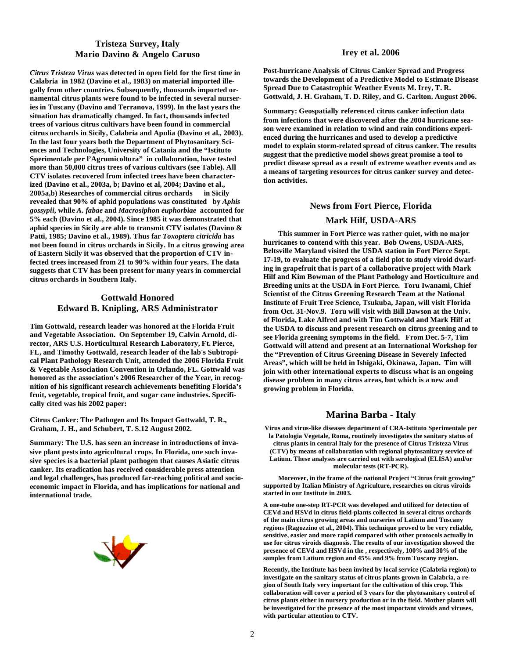# **Tristeza Survey, Italy Mario Davino & Angelo Caruso**

*Citrus Tristeza Virus* **was detected in open field for the first time in Calabria in 1982 (Davino et al., 1983) on material imported illegally from other countries. Subsequently, thousands imported ornamental citrus plants were found to be infected in several nurseries in Tuscany (Davino and Terranova, 1999). In the last years the situation has dramatically changed. In fact, thousands infected trees of various citrus cultivars have been found in commercial citrus orchards in Sicily, Calabria and Apulia (Davino et al., 2003). In the last four years both the Department of Phytosanitary Sciences and Technologies, University of Catania and the "Istituto Sperimentale per l'Agrumicoltura" in collaboration, have tested more than 50,000 citrus trees of various cultivars (see Table). All CTV isolates recovered from infected trees have been characterized (Davino et al., 2003a, b; Davino et al, 2004; Davino et al., 2005a,b) Researches of commercial citrus orchards in Sicily revealed that 90% of aphid populations was constituted by** *Aphis gossypii***, while** *A. fabae* **and** *Macrosiphon euphorbiae* **accounted for 5% each (Davino et al., 2004). Since 1985 it was demonstrated that aphid species in Sicily are able to transmit CTV isolates (Davino & Patti, 1985; Davino et al., 1989). Thus far** *Toxoptera citricida* **has not been found in citrus orchards in Sicily. In a citrus growing area of Eastern Sicily it was observed that the proportion of CTV infected trees increased from 21 to 90% within four years. The data suggests that CTV has been present for many years in commercial citrus orchards in Southern Italy.** 

# **Gottwald Honored Edward B. Knipling, ARS Administrator**

**Tim Gottwald, research leader was honored at the Florida Fruit and Vegetable Association. On September 19, Calvin Arnold, director, ARS U.S. Horticultural Research Laboratory, Ft. Pierce, FL, and Timothy Gottwald, research leader of the lab's Subtropical Plant Pathology Research Unit, attended the 2006 Florida Fruit & Vegetable Association Convention in Orlando, FL. Gottwald was honored as the association's 2006 Researcher of the Year, in recognition of his significant research achievements benefiting Florida's fruit, vegetable, tropical fruit, and sugar cane industries. Specifically cited was his 2002 paper:** 

**Citrus Canker: The Pathogen and Its Impact Gottwald, T. R., Graham, J. H., and Schubert, T. S.12 August 2002.** 

**Summary: The U.S. has seen an increase in introductions of invasive plant pests into agricultural crops. In Florida, one such invasive species is a bacterial plant pathogen that causes Asiatic citrus canker. Its eradication has received considerable press attention and legal challenges, has produced far-reaching political and socioeconomic impact in Florida, and has implications for national and international trade.**



#### **Irey et al. 2006**

**Post-hurricane Analysis of Citrus Canker Spread and Progress towards the Development of a Predictive Model to Estimate Disease Spread Due to Catastrophic Weather Events M. Irey, T. R. Gottwald, J. H. Graham, T. D. Riley, and G. Carlton. August 2006.** 

**Summary: Geospatially referenced citrus canker infection data from infections that were discovered after the 2004 hurricane season were examined in relation to wind and rain conditions experienced during the hurricanes and used to develop a predictive model to explain storm-related spread of citrus canker. The results suggest that the predictive model shows great promise a tool to predict disease spread as a result of extreme weather events and as a means of targeting resources for citrus canker survey and detection activities.** 

### **News from Fort Pierce, Florida**

# **Mark Hilf, USDA-ARS**

 **This summer in Fort Pierce was rather quiet, with no major hurricanes to contend with this year. Bob Owens, USDA-ARS, Beltsville Maryland visited the USDA station in Fort Pierce Sept. 17-19, to evaluate the progress of a field plot to study viroid dwarfing in grapefruit that is part of a collaborative project with Mark Hilf and Kim Bowman of the Plant Pathology and Horticulture and Breeding units at the USDA in Fort Pierce. Toru Iwanami, Chief Scientist of the Citrus Greening Research Team at the National Institute of Fruit Tree Science, Tsukuba, Japan, will visit Florida from Oct. 31-Nov.9. Toru will visit with Bill Dawson at the Univ. of Florida, Lake Alfred and with Tim Gottwald and Mark Hilf at the USDA to discuss and present research on citrus greening and to see Florida greening symptoms in the field. From Dec. 5-7, Tim Gottwald will attend and present at an International Workshop for the "Prevention of Citrus Greening Disease in Severely Infected Areas", which will be held in Ishigaki, Okinawa, Japan. Tim will join with other international experts to discuss what is an ongoing disease problem in many citrus areas, but which is a new and growing problem in Florida.** 

# **Marina Barba - Italy**

**Virus and virus-like diseases department of CRA-Istituto Sperimentale per la Patologia Vegetale, Roma, routinely investigates the sanitary status of citrus plants in central Italy for the presence of Citrus Tristeza Virus (CTV) by means of collaboration with regional phytosanitary service of Latium. These analyses are carried out with serological (ELISA) and/or molecular tests (RT-PCR).** 

 **Moreover, in the frame of the national Project "Citrus fruit growing" supported by Italian Ministry of Agriculture, researches on citrus viroids started in our Institute in 2003.** 

**A one-tube one-step RT-PCR was developed and utilized for detection of CEVd and HSVd in citrus field-plants collected in several citrus orchards of the main citrus growing areas and nurseries of Latium and Tuscany regions (Ragozzino et al., 2004). This technique proved to be very reliable, sensitive, easier and more rapid compared with other protocols actually in use for citrus viroids diagnosis. The results of our investigation showed the presence of CEVd and HSVd in the , respectively, 100% and 30% of the samples from Latium region and 45% and 9% from Tuscany region.** 

**Recently, the Institute has been invited by local service (Calabria region) to investigate on the sanitary status of citrus plants grown in Calabria, a region of South Italy very important for the cultivation of this crop. This collaboration will cover a period of 3 years for the phytosanitary control of citrus plants either in nursery production or in the field. Mother plants will be investigated for the presence of the most important viroids and viruses, with particular attention to CTV.**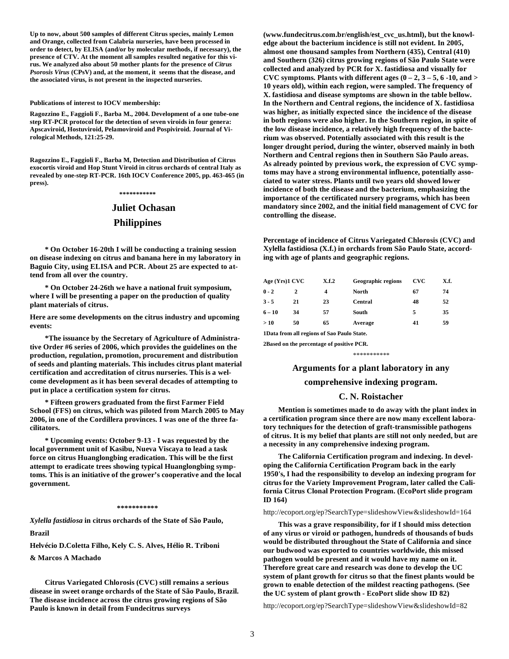**Up to now, about 500 samples of different Citrus species, mainly Lemon and Orange, collected from Calabria nurseries, have been processed in order to detect, by ELISA (and/or by molecular methods, if necessary), the presence of CTV. At the moment all samples resulted negative for this virus. We analyzed also about 50 mother plants for the presence of** *Citrus Psorosis Virus* **(CPsV) and, at the moment, it seems that the disease, and the associated virus, is not present in the inspected nurseries.** 

**Publications of interest to IOCV membership:** 

**Ragozzino E., Faggioli F., Barba M., 2004. Development of a one tube-one step RT-PCR protocol for the detection of seven viroids in four genera: Apscaviroid, Hostuviroid, Pelamoviroid and Pospiviroid. Journal of Virological Methods, 121:25-29.** 

**Ragozzino E., Faggioli F., Barba M, Detection and Distribution of Citrus exocortis viroid and Hop Stunt Viroid in citrus orchards of central Italy as revealed by one-step RT-PCR. 16th IOCV Conference 2005, pp. 463-465 (in press).** 

**\*\*\*\*\*\*\*\*\*\*\*** 

# **Juliet Ochasan Philippines**

 **\* On October 16-20th I will be conducting a training session on disease indexing on citrus and banana here in my laboratory in Baguio City, using ELISA and PCR. About 25 are expected to attend from all over the country.** 

 **\* On October 24-26th we have a national fruit symposium, where I will be presenting a paper on the production of quality plant materials of citrus.** 

**Here are some developments on the citrus industry and upcoming events:** 

 **\*The issuance by the Secretary of Agriculture of Administrative Order #6 series of 2006, which provides the guidelines on the production, regulation, promotion, procurement and distribution of seeds and planting materials. This includes citrus plant material certification and accreditation of citrus nurseries. This is a welcome development as it has been several decades of attempting to put in place a certification system for citrus.** 

 **\* Fifteen growers graduated from the first Farmer Field School (FFS) on citrus, which was piloted from March 2005 to May 2006, in one of the Cordillera provinces. I was one of the three facilitators.** 

 **\* Upcoming events: October 9-13 - I was requested by the local government unit of Kasibu, Nueva Viscaya to lead a task force on citrus Huanglongbing eradication. This will be the first attempt to eradicate trees showing typical Huanglongbing symptoms. This is an initiative of the grower's cooperative and the local government.** 

#### **\*\*\*\*\*\*\*\*\*\*\***

*Xylella fastidiosa* **in citrus orchards of the State of São Paulo, Brazil** 

**Helvécio D.Coletta Filho, Kely C. S. Alves, Hélio R. Triboni** 

**& Marcos A Machado** 

 **Citrus Variegated Chlorosis (CVC) still remains a serious disease in sweet orange orchards of the State of São Paulo, Brazil. The disease incidence across the citrus growing regions of São Paulo is known in detail from Fundecitrus surveys** 

**(www.fundecitrus.com.br/english/est\_cvc\_us.html), but the knowledge about the bacterium incidence is still not evident. In 2005, almost one thousand samples from Northern (435), Central (410) and Southern (326) citrus growing regions of São Paulo State were collected and analyzed by PCR for X. fastidiosa and visually for CVC symptoms. Plants with different ages (0 – 2, 3 – 5, 6 -10, and > 10 years old), within each region, were sampled. The frequency of X. fastidiosa and disease symptoms are shown in the table bellow. In the Northern and Central regions, the incidence of X. fastidiosa was higher, as initially expected since the incidence of the disease in both regions were also higher. In the Southern region, in spite of the low disease incidence, a relatively high frequency of the bacterium was observed. Potentially associated with this result is the longer drought period, during the winter, observed mainly in both Northern and Central regions then in Southern São Paulo areas. As already pointed by previous work, the expression of CVC symptoms may have a strong environmental influence, potentially associated to water stress. Plants until two years old showed lower incidence of both the disease and the bacterium, emphasizing the importance of the certificated nursery programs, which has been mandatory since 2002, and the initial field management of CVC for controlling the disease.** 

**Percentage of incidence of Citrus Variegated Chlorosis (CVC) and Xylella fastidiosa (X.f.) in orchards from São Paulo State, according with age of plants and geographic regions.** 

| Age (Yrs)1 CVC |    | X.f.2 | <b>Geographic regions</b> | <b>CVC</b> | X.f. |
|----------------|----|-------|---------------------------|------------|------|
| $0 - 2$        | 2  | 4     | North                     | 67         | 74   |
| 3 - 5          | 21 | 23    | <b>Central</b>            | 48         | 52   |
| $6 - 10$       | 34 | 57    | South                     | 5          | 35   |
| > 10           | 50 | 65    | Average                   | 41         | 59   |
|                |    |       |                           |            |      |

**1Data from all regions of Sao Paulo State.** 

**2Based on the percentage of positive PCR.** 

#### \*\*\*\*\*\*\*\*\*\*\*

### **Arguments for a plant laboratory in any**

#### **comprehensive indexing program.**

#### **C. N. Roistacher**

 **Mention is sometimes made to do away with the plant index in a certification program since there are now many excellent laboratory techniques for the detection of graft-transmissible pathogens of citrus. It is my belief that plants are still not only needed, but are a necessity in any comprehensive indexing program.** 

 **The California Certification program and indexing. In developing the California Certification Program back in the early 1950's, I had the responsibility to develop an indexing program for citrus for the Variety Improvement Program, later called the California Citrus Clonal Protection Program. (EcoPort slide program ID 164)** 

#### http://ecoport.org/ep?SearchType=slideshowView&slideshowId=164

 **This was a grave responsibility, for if I should miss detection of any virus or viroid or pathogen, hundreds of thousands of buds would be distributed throughout the State of California and since our budwood was exported to countries worldwide, this missed pathogen would be present and it would have my name on it. Therefore great care and research was done to develop the UC system of plant growth for citrus so that the finest plants would be grown to enable detection of the mildest reacting pathogens. (See the UC system of plant growth - EcoPort slide show ID 82)** 

http://ecoport.org/ep?SearchType=slideshowView&slideshowId=82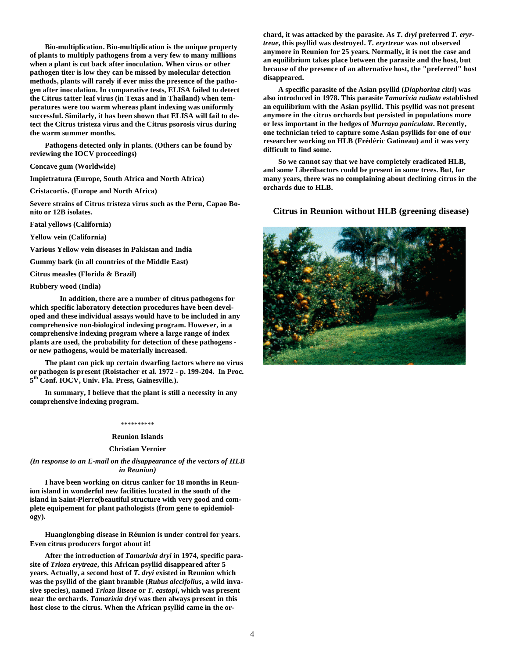**Bio-multiplication. Bio-multiplication is the unique property of plants to multiply pathogens from a very few to many millions when a plant is cut back after inoculation. When virus or other pathogen titer is low they can be missed by molecular detection methods, plants will rarely if ever miss the presence of the pathogen after inoculation. In comparative tests, ELISA failed to detect the Citrus tatter leaf virus (in Texas and in Thailand) when temperatures were too warm whereas plant indexing was uniformly successful. Similarly, it has been shown that ELISA will fail to detect the Citrus tristeza virus and the Citrus psorosis virus during the warm summer months.** 

 **Pathogens detected only in plants. (Others can be found by reviewing the IOCV proceedings)** 

**Concave gum (Worldwide)** 

**Impietratura (Europe, South Africa and North Africa)** 

**Cristacortis. (Europe and North Africa)** 

**Severe strains of Citrus tristeza virus such as the Peru, Capao Bonito or 12B isolates.** 

**Fatal yellows (California)** 

**Yellow vein (California)** 

**Various Yellow vein diseases in Pakistan and India** 

**Gummy bark (in all countries of the Middle East)** 

**Citrus measles (Florida & Brazil)** 

#### **Rubbery wood (India)**

 **In addition, there are a number of citrus pathogens for which specific laboratory detection procedures have been developed and these individual assays would have to be included in any comprehensive non-biological indexing program. However, in a comprehensive indexing program where a large range of index plants are used, the probability for detection of these pathogens or new pathogens, would be materially increased.** 

 **The plant can pick up certain dwarfing factors where no virus or pathogen is present (Roistacher et al. 1972 - p. 199-204. In Proc. 5th Conf. IOCV, Univ. Fla. Press, Gainesville.).** 

 **In summary, I believe that the plant is still a necessity in any comprehensive indexing program.** 

#### \*\*\*\*\*\*\*\*\*\*

#### **Reunion Islands**

#### **Christian Vernier**

*(In response to an E-mail on the disappearance of the vectors of HLB in Reunion)* 

 **I have been working on citrus canker for 18 months in Reunion island in wonderful new facilities located in the south of the island in Saint-Pierre(beautiful structure with very good and complete equipement for plant pathologists (from gene to epidemiology).** 

 **Huanglongbing disease in Réunion is under control for years. Even citrus producers forgot about it!** 

 **After the introduction of** *Tamarixia dryi* **in 1974, specific parasite of** *Trioza erytreae***, this African psyllid disappeared after 5 years. Actually, a second host of** *T. dryi* **existed in Reunion which was the psyllid of the giant bramble (***Rubus alccifolius***, a wild invasive species), named** *Trioza litseae* **or** *T. eastopi***, which was present near the orchards.** *Tamarixia dryi* **was then always present in this host close to the citrus. When the African psyllid came in the or-** **chard, it was attacked by the parasite. As** *T. dryi* **preferred** *T. eryrtreae***, this psyllid was destroyed.** *T. eryrtreae* **was not observed anymore in Reunion for 25 years. Normally, it is not the case and an equilibrium takes place between the parasite and the host, but because of the presence of an alternative host, the "preferred" host disappeared.** 

 **A specific parasite of the Asian psyllid (***Diaphorina citri***) was also introduced in 1978. This parasite** *Tamarixia radiata* **established an equilibrium with the Asian psyllid. This psyllid was not present anymore in the citrus orchards but persisted in populations more or less important in the hedges of** *Murraya paniculata***. Recently, one technician tried to capture some Asian psyllids for one of our researcher working on HLB (Frédéric Gatineau) and it was very difficult to find some.** 

 **So we cannot say that we have completely eradicated HLB, and some Liberibactors could be present in some trees. But, for many years, there was no complaining about declining citrus in the orchards due to HLB.** 

### **Citrus in Reunion without HLB (greening disease)**

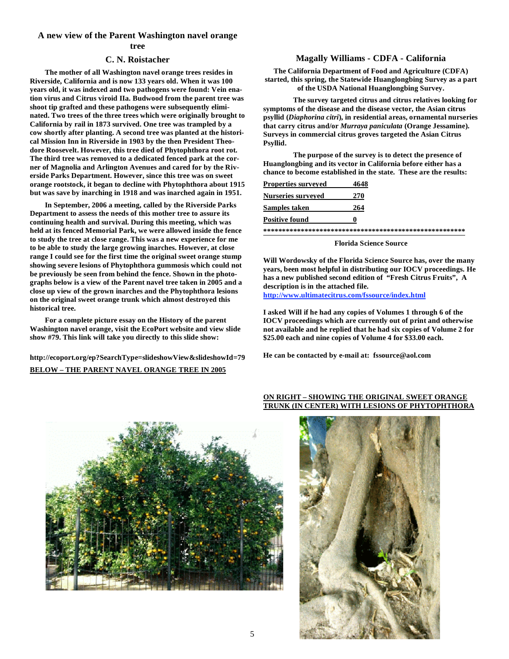# **A new view of the Parent Washington navel orange tree**

# **C. N. Roistacher**

 **The mother of all Washington navel orange trees resides in Riverside, California and is now 133 years old. When it was 100 years old, it was indexed and two pathogens were found: Vein enation virus and Citrus viroid IIa. Budwood from the parent tree was shoot tip grafted and these pathogens were subsequently eliminated. Two trees of the three trees which were originally brought to California by rail in 1873 survived. One tree was trampled by a cow shortly after planting. A second tree was planted at the historical Mission Inn in Riverside in 1903 by the then President Theodore Roosevelt. However, this tree died of Phytophthora root rot. The third tree was removed to a dedicated fenced park at the corner of Magnolia and Arlington Avenues and cared for by the Riverside Parks Department. However, since this tree was on sweet orange rootstock, it began to decline with Phytophthora about 1915 but was save by inarching in 1918 and was inarched again in 1951.** 

 **In September, 2006 a meeting, called by the Riverside Parks Department to assess the needs of this mother tree to assure its continuing health and survival. During this meeting, which was held at its fenced Memorial Park, we were allowed inside the fence to study the tree at close range. This was a new experience for me to be able to study the large growing inarches. However, at close range I could see for the first time the original sweet orange stump showing severe lesions of Phytophthora gummosis which could not be previously be seen from behind the fence. Shown in the photographs below is a view of the Parent navel tree taken in 2005 and a close up view of the grown inarches and the Phytophthora lesions on the original sweet orange trunk which almost destroyed this historical tree.** 

 **For a complete picture essay on the History of the parent Washington navel orange, visit the EcoPort website and view slide show #79. This link will take you directly to this slide show:** 

**http://ecoport.org/ep?SearchType=slideshowView&slideshowId=79 BELOW – THE PARENT NAVEL ORANGE TREE IN 2005**

# **Magally Williams - CDFA - California**

**The California Department of Food and Agriculture (CDFA) started, this spring, the Statewide Huanglongbing Survey as a part of the USDA National Huanglongbing Survey.** 

 **The survey targeted citrus and citrus relatives looking for symptoms of the disease and the disease vector, the Asian citrus psyllid (***Diaphorina citri***), in residential areas, ornamental nurseries that carry citrus and/or** *Murraya paniculata* **(Orange Jessamine). Surveys in commercial citrus groves targeted the Asian Citrus Psyllid.** 

 **The purpose of the survey is to detect the presence of Huanglongbing and its vector in California before either has a chance to become established in the state. These are the results:** 

| Properties surveyed       | 4648 |
|---------------------------|------|
| <b>Nurseries surveyed</b> | 270  |
| Samples taken             | 264  |
| <b>Positive found</b>     | o    |
|                           |      |

**\*\*\*\*\*\*\*\*\*\*\*\*\*\*\*\*\*\*\*\*\*\*\*\*\*\*\*\*\*\*\*\*\*\*\*\*\*\*\*\*\*\*\*\*\*\*\*\*\*\*\*\*\*\***

#### **Florida Science Source**

**Will Wordowsky of the Florida Science Source has, over the many years, been most helpful in distributing our IOCV proceedings. He has a new published second edition of "Fresh Citrus Fruits", A description is in the attached file.** 

**http://www.ultimatecitrus.com/fssource/index.html**

**I asked Will if he had any copies of Volumes 1 through 6 of the IOCV proceedings which are currently out of print and otherwise not available and he replied that he had six copies of Volume 2 for \$25.00 each and nine copies of Volume 4 for \$33.00 each.** 

**He can be contacted by e-mail at: fssource@aol.com** 



# **ON RIGHT – SHOWING THE ORIGINAL SWEET ORANGE TRUNK (IN CENTER) WITH LESIONS OF PHYTOPHTHORA**

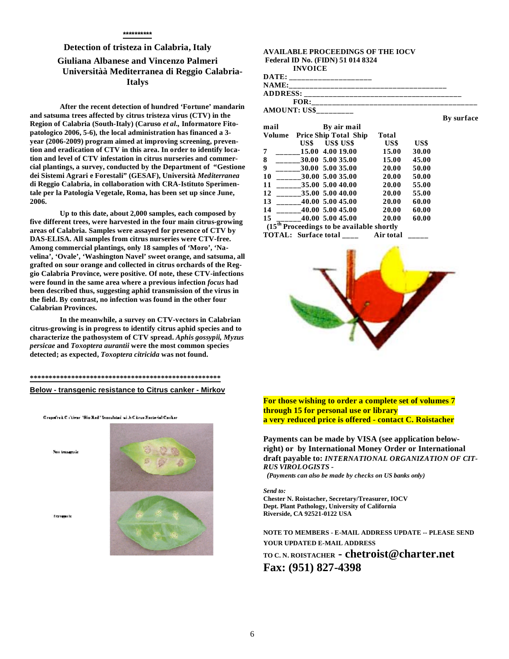# **Detection of tristeza in Calabria, Italy Giuliana Albanese and Vincenzo Palmeri Universitàà Mediterranea di Reggio Calabria-Italys**

 **After the recent detection of hundred 'Fortune' mandarin and satsuma trees affected by citrus tristeza virus (CTV) in the Region of Calabria (South-Italy) (Caruso** *et al.,* **Informatore Fitopatologico 2006, 5-6), the local administration has financed a 3 year (2006-2009) program aimed at improving screening, prevention and eradication of CTV in this area. In order to identify location and level of CTV infestation in citrus nurseries and commercial plantings, a survey, conducted by the Department of "Gestione dei Sistemi Agrari e Forestali" (GESAF), Università** *Mediterranea*  **di Reggio Calabria, in collaboration with CRA-Istituto Sperimentale per la Patologia Vegetale, Roma, has been set up since June, 2006.** 

 **Up to this date, about 2,000 samples, each composed by five different trees, were harvested in the four main citrus-growing areas of Calabria. Samples were assayed for presence of CTV by DAS-ELISA. All samples from citrus nurseries were CTV-free. Among commercial plantings, only 18 samples of 'Moro', 'Navelina', 'Ovale', 'Washington Navel' sweet orange, and satsuma, all grafted on sour orange and collected in citrus orchards of the Reggio Calabria Province, were positive. Of note, these CTV-infections were found in the same area where a previous infection** *focus* **had been described thus, suggesting aphid transmission of the virus in the field. By contrast, no infection was found in the other four Calabrian Provinces.** 

 **In the meanwhile, a survey on CTV-vectors in Calabrian citrus-growing is in progress to identify citrus aphid species and to characterize the pathosystem of CTV spread.** *Aphis gossypii, Myzus persicae* **and** *Toxoptera aurantii* **were the most common species detected; as expected,** *Toxoptera citricida* **was not found.** 

# **\*\*\*\*\*\*\*\*\*\*\*\*\*\*\*\*\*\*\*\*\*\*\*\*\*\*\*\*\*\*\*\*\*\*\*\*\*\*\*\*\*\*\*\*\*\*\*\*\*\*\***

#### **Below - transgenic resistance to Citrus canker - Mirkov**

Cropefrod C. (Liver, "Bio Red." Inoculated with Citrus Exclusion Content

.<br>San transacrite

**Francisco** In



#### **AVAILABLE PROCEEDINGS OF THE IOCV Federal ID No. (FIDN) 51 014 8324 INVOICE**  DATE: NAME: **ADDRESS: \_\_\_\_\_\_\_\_\_\_\_\_\_\_\_\_\_\_\_\_\_\_\_\_\_\_\_\_\_\_\_\_\_\_\_\_\_\_ FOR:\_\_\_\_\_\_\_\_\_\_\_\_\_\_\_\_\_\_\_\_\_\_\_\_\_\_\_\_\_\_\_\_\_\_\_\_\_\_\_\_ AMOUNT: US\$\_\_\_\_\_\_\_\_\_ By surface mail By air mail Volume Price Ship Total Ship Total US\$ US\$ US\$ US\$ US\$ 7 \_\_\_\_\_\_15.00 4.00 19.00 15.00 30.00 8 \_\_\_\_\_\_30.00 5.00 35.00 15.00 45.00 9 \_\_\_\_\_\_30.00 5.00 35.00 20.00 50.00**  10  $30.00 \t5.00 \t35.00$  20.00 **11 \_\_\_\_\_\_35.00 5.00 40.00 20.00 55.00 12 \_\_\_\_\_\_35.00 5.00 40.00 20.00 55.00 13 \_\_\_\_\_\_40.00 5.00 45.00 20.00 60.00 14 \_\_\_\_\_\_40.00 5.00 45.00 20.00 60.00 15 \_\_\_\_\_\_40.00 5.00 45.00 20.00 60.00**



 **(15th Proceedings to be available shortly TOTAL: Surface total \_\_\_\_ Air total \_\_\_\_\_** 

**For those wishing to order a complete set of volumes 7 through 15 for personal use or library a very reduced price is offered - contact C. Roistacher** 

**Payments can be made by VISA (see application belowright) or by International Money Order or International draft payable to:** *INTERNATIONAL ORGANIZATION OF CIT-RUS VIROLOGISTS -* 

 *(Payments can also be made by checks on US banks only)* 

*Send to:*

**Chester N. Roistacher, Secretary/Treasurer, IOCV Dept. Plant Pathology, University of California Riverside, CA 92521-0122 USA** 

**NOTE TO MEMBERS - E-MAIL ADDRESS UPDATE -- PLEASE SEND YOUR UPDATED E-MAIL ADDRESS** 

**TO C. N. ROISTACHER - chetroist@charter.net Fax: (951) 827-4398**